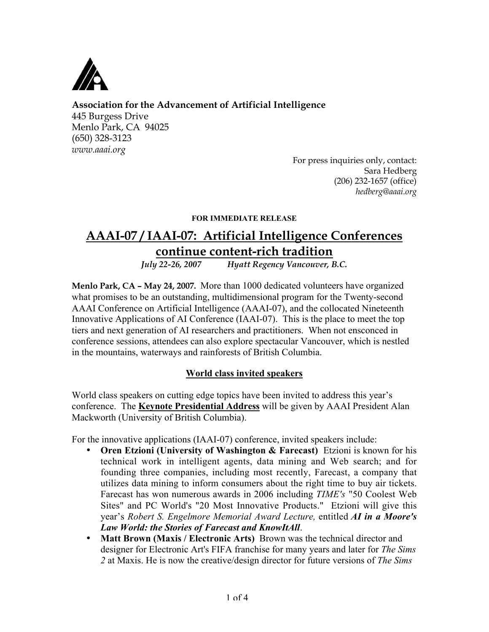

# **Association for the Advancement of Artificial Intelligence**

445 Burgess Drive Menlo Park, CA 94025 (650) 328-3123 *www.aaai.org*

For press inquiries only, contact: Sara Hedberg (206) 232-1657 (office) *hedberg@aaai.org*

### FOR IMMEDIATE RELEASE

# **AAAI-07 / IAAI-07: Artificial Intelligence Conferences <u>continue content-rich tradition</u>**<br>*July* 22-26, 2007 *Hyatt Regency Vancouver*, *E*

*July 22-26, 2007 Hyatt Regency Vancouver, B.C.*

**Menlo Park, CA – May 24, 2007.** More than 1000 dedicated volunteers have organized what promises to be an outstanding, multidimensional program for the Twenty-second AAAI Conference on Artificial Intelligence (AAAI-07), and the collocated Nineteenth Innovative Applications of AI Conference (IAAI-07). This is the place to meet the top tiers and next generation of AI researchers and practitioners. When not ensconced in conference sessions, attendees can also explore spectacular Vancouver, which is nestled in the mountains, waterways and rainforests of British Columbia.

# World class invited speakers

World class speakers on cutting edge topics have been invited to address this year's conference. The **Keynote Presidential Address** will be given by AAAI President Alan Mackworth (University of British Columbia).

For the innovative applications (IAAI-07) conference, invited speakers include:

- Oren Etzioni (University of Washington & Farecast) Etzioni is known for his technical work in intelligent agents, data mining and Web search; and for founding three companies, including most recently, Farecast, a company that utilizes data mining to inform consumers about the right time to buy air tickets. Farecast has won numerous awards in 2006 including *TIME's* "50 Coolest Web Sites" and PC World's "20 Most Innovative Products." Etzioni will give this year's *Robert S. Engelmore Memorial Award Lecture,* entitled *AI in a Moore's Law World: the Stories of Farecast and KnowItAll*.
- Matt Brown (Maxis / Electronic Arts) Brown was the technical director and designer for Electronic Art's FIFA franchise for many years and later for *The Sims 2* at Maxis. He is now the creative/design director for future versions of *The Sims*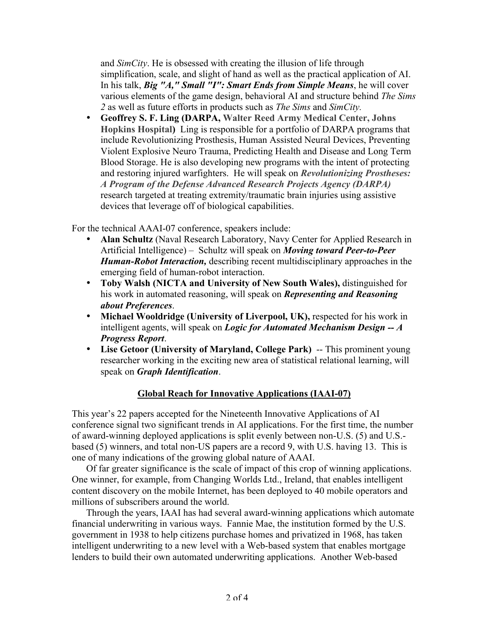and *SimCity*. He is obsessed with creating the illusion of life through simplification, scale, and slight of hand as well as the practical application of AI. In his talk, *Big "A," Small "I": Smart Ends from Simple Means*, he will cover various elements of the game design, behavioral AI and structure behind *The Sims 2* as well as future efforts in products such as *The Sims* and *SimCity.*

• Geoffrey S. F. Ling (DARPA, Walter Reed Army Medical Center, Johns Hopkins Hospital) Ling is responsible for a portfolio of DARPA programs that include Revolutionizing Prosthesis, Human Assisted Neural Devices, Preventing Violent Explosive Neuro Trauma, Predicting Health and Disease and Long Term Blood Storage. He is also developing new programs with the intent of protecting and restoring injured warfighters. He will speak on *Revolutionizing Prostheses: A Program of the Defense Advanced Research Projects Agency (DARPA)* research targeted at treating extremity/traumatic brain injuries using assistive devices that leverage off of biological capabilities.

For the technical AAAI-07 conference, speakers include:

- Alan Schultz (Naval Research Laboratory, Navy Center for Applied Research in Artificial Intelligence) – Schultz will speak on *Moving toward Peer-to-Peer Human-Robot Interaction,* describing recent multidisciplinary approaches in the emerging field of human-robot interaction.
- Toby Walsh (NICTA and University of New South Wales), distinguished for his work in automated reasoning, will speak on *Representing and Reasoning about Preferences*.
- Michael Wooldridge (University of Liverpool, UK), respected for his work in intelligent agents, will speak on *Logic for Automated Mechanism Design -- A Progress Report*.
- Lise Getoor (University of Maryland, College Park) -- This prominent young researcher working in the exciting new area of statistical relational learning, will speak on *Graph Identification*.

# Global Reach for Innovative Applications (IAAI-07)

This year's 22 papers accepted for the Nineteenth Innovative Applications of AI conference signal two significant trends in AI applications. For the first time, the number of award-winning deployed applications is split evenly between non-U.S. (5) and U.S. based (5) winners, and total non-US papers are a record 9, with U.S. having 13. This is one of many indications of the growing global nature of AAAI.

Of far greater significance is the scale of impact of this crop of winning applications. One winner, for example, from Changing Worlds Ltd., Ireland, that enables intelligent content discovery on the mobile Internet, has been deployed to 40 mobile operators and millions of subscribers around the world.

Through the years, IAAI has had several award-winning applications which automate financial underwriting in various ways. Fannie Mae, the institution formed by the U.S. government in 1938 to help citizens purchase homes and privatized in 1968, has taken intelligent underwriting to a new level with a Web-based system that enables mortgage lenders to build their own automated underwriting applications. Another Web-based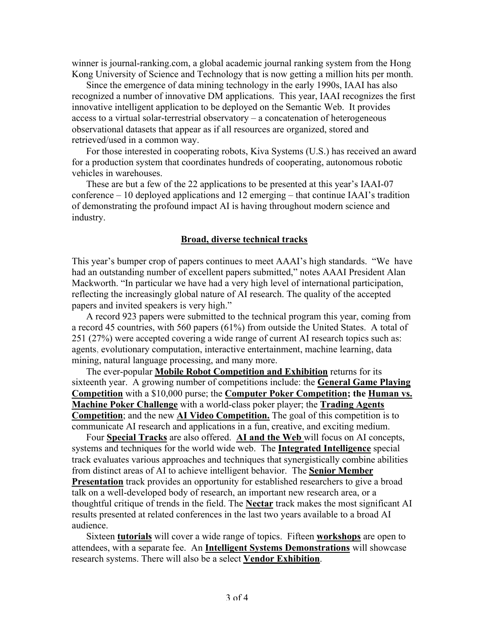winner is journal-ranking.com, a global academic journal ranking system from the Hong Kong University of Science and Technology that is now getting a million hits per month.

Since the emergence of data mining technology in the early 1990s, IAAI has also recognized a number of innovative DM applications. This year, IAAI recognizes the first innovative intelligent application to be deployed on the Semantic Web. It provides access to a virtual solar-terrestrial observatory – a concatenation of heterogeneous observational datasets that appear as if all resources are organized, stored and retrieved/used in a common way.

For those interested in cooperating robots, Kiva Systems (U.S.) has received an award for a production system that coordinates hundreds of cooperating, autonomous robotic vehicles in warehouses.

These are but a few of the 22 applications to be presented at this year's IAAI-07 conference – 10 deployed applications and 12 emerging – that continue IAAI's tradition of demonstrating the profound impact AI is having throughout modern science and industry.

#### Broad, diverse technical tracks

This year's bumper crop of papers continues to meet AAAI's high standards. "We have had an outstanding number of excellent papers submitted," notes AAAI President Alan Mackworth. "In particular we have had a very high level of international participation, reflecting the increasingly global nature of AI research. The quality of the accepted papers and invited speakers is very high."

A record 923 papers were submitted to the technical program this year, coming from a record 45 countries, with 560 papers (61%) from outside the United States. A total of 251 (27%) were accepted covering a wide range of current AI research topics such as: agents, evolutionary computation, interactive entertainment, machine learning, data mining, natural language processing, and many more.

The ever-popular Mobile Robot Competition and Exhibition returns for its sixteenth year. A growing number of competitions include: the General Game Playing Competition with a \$10,000 purse; the Computer Poker Competition; the Human vs. Machine Poker Challenge with a world-class poker player; the Trading Agents Competition; and the new **AI Video Competition**. The goal of this competition is to communicate AI research and applications in a fun, creative, and exciting medium.

Four Special Tracks are also offered. AI and the Web will focus on AI concepts, systems and techniques for the world wide web. The Integrated Intelligence special track evaluates various approaches and techniques that synergistically combine abilities from distinct areas of AI to achieve intelligent behavior. The Senior Member Presentation track provides an opportunity for established researchers to give a broad talk on a well-developed body of research, an important new research area, or a thoughtful critique of trends in the field. The Nectar track makes the most significant AI results presented at related conferences in the last two years available to a broad AI audience.

Sixteen **tutorials** will cover a wide range of topics. Fifteen workshops are open to attendees, with a separate fee. An **Intelligent Systems Demonstrations** will showcase research systems. There will also be a select Vendor Exhibition.